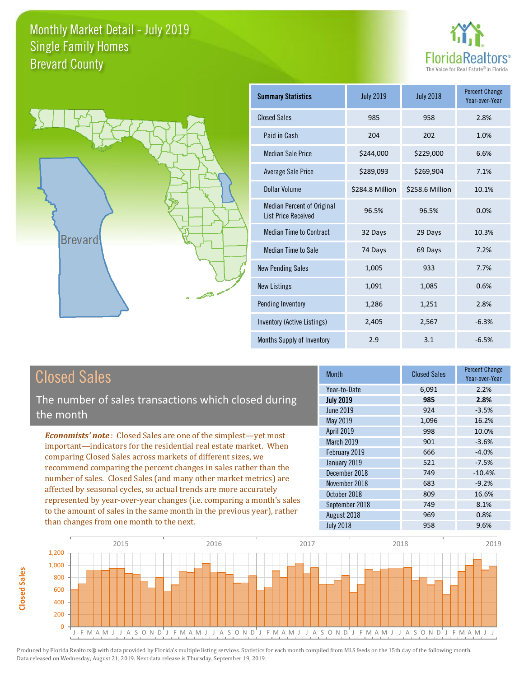



**Closed Sales**

**Closed Sales** 

| <b>Summary Statistics</b>                                       | <b>July 2019</b> | <b>July 2018</b> | <b>Percent Change</b><br>Year-over-Year |
|-----------------------------------------------------------------|------------------|------------------|-----------------------------------------|
| <b>Closed Sales</b>                                             | 985              | 958              | 2.8%                                    |
| Paid in Cash                                                    | 204              | 202              | 1.0%                                    |
| <b>Median Sale Price</b>                                        | \$244,000        | \$229,000        | 6.6%                                    |
| <b>Average Sale Price</b>                                       | \$289,093        | \$269,904        | 7.1%                                    |
| Dollar Volume                                                   | \$284.8 Million  | \$258.6 Million  | 10.1%                                   |
| <b>Median Percent of Original</b><br><b>List Price Received</b> | 96.5%            | 96.5%            | 0.0%                                    |
| <b>Median Time to Contract</b>                                  | 32 Days          | 29 Days          | 10.3%                                   |
| <b>Median Time to Sale</b>                                      | 74 Days          | 69 Days          | 7.2%                                    |
| <b>New Pending Sales</b>                                        | 1,005            | 933              | 7.7%                                    |
| <b>New Listings</b>                                             | 1,091            | 1,085            | 0.6%                                    |
| Pending Inventory                                               | 1,286            | 1,251            | 2.8%                                    |
| Inventory (Active Listings)                                     | 2,405            | 2,567            | $-6.3%$                                 |
| Months Supply of Inventory                                      | 2.9              | 3.1              | $-6.5%$                                 |

| <b>Closed Sales</b>                                                                                                                                                                                                                                                                                                                                                                                                                                                                                                                                                                                                      | <b>Month</b>                                                                                                                                                                   | <b>Closed Sales</b>                                                | <b>Percent Change</b><br>Year-over-Year                                                        |
|--------------------------------------------------------------------------------------------------------------------------------------------------------------------------------------------------------------------------------------------------------------------------------------------------------------------------------------------------------------------------------------------------------------------------------------------------------------------------------------------------------------------------------------------------------------------------------------------------------------------------|--------------------------------------------------------------------------------------------------------------------------------------------------------------------------------|--------------------------------------------------------------------|------------------------------------------------------------------------------------------------|
| The number of sales transactions which closed during<br>the month                                                                                                                                                                                                                                                                                                                                                                                                                                                                                                                                                        | Year-to-Date<br><b>July 2019</b><br><b>June 2019</b><br>May 2019                                                                                                               | 6,091<br>985<br>924<br>1,096                                       | 2.2%<br>2.8%<br>$-3.5%$<br>16.2%                                                               |
| <b>Economists' note:</b> Closed Sales are one of the simplest-yet most<br>important—indicators for the residential real estate market. When<br>comparing Closed Sales across markets of different sizes, we<br>recommend comparing the percent changes in sales rather than the<br>number of sales. Closed Sales (and many other market metrics) are<br>affected by seasonal cycles, so actual trends are more accurately<br>represented by year-over-year changes (i.e. comparing a month's sales<br>to the amount of sales in the same month in the previous year), rather<br>than changes from one month to the next. | <b>April 2019</b><br><b>March 2019</b><br>February 2019<br>January 2019<br>December 2018<br>November 2018<br>October 2018<br>September 2018<br>August 2018<br><b>July 2018</b> | 998<br>901<br>666<br>521<br>749<br>683<br>809<br>749<br>969<br>958 | 10.0%<br>$-3.6%$<br>$-4.0%$<br>$-7.5%$<br>$-10.4%$<br>$-9.2%$<br>16.6%<br>8.1%<br>0.8%<br>9.6% |

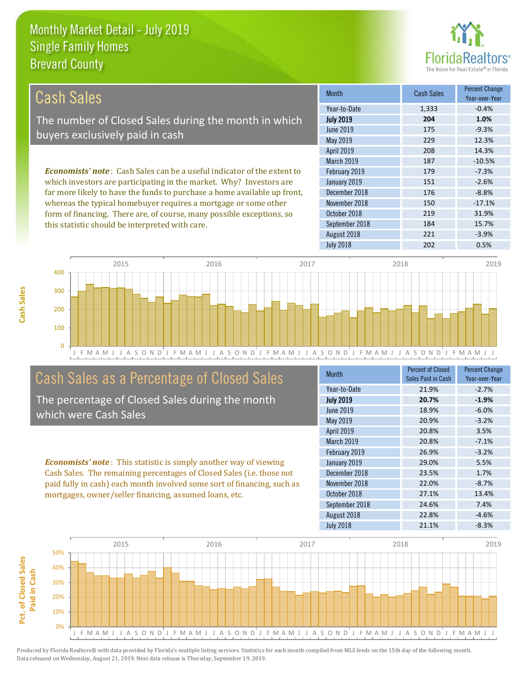

| Cash Sales                                                                     | <b>Month</b>      | Cash Sales | <b>Percent Change</b><br>Year-over-Year |
|--------------------------------------------------------------------------------|-------------------|------------|-----------------------------------------|
|                                                                                | Year-to-Date      | 1,333      | $-0.4%$                                 |
| The number of Closed Sales during the month in which                           | <b>July 2019</b>  | 204        | 1.0%                                    |
|                                                                                | June 2019         | 175        | $-9.3%$                                 |
| buyers exclusively paid in cash                                                | May 2019          | 229        | 12.3%                                   |
|                                                                                | <b>April 2019</b> | 208        | 14.3%                                   |
|                                                                                | <b>March 2019</b> | 187        | $-10.5%$                                |
| <b>Economists' note:</b> Cash Sales can be a useful indicator of the extent to | February 2019     | 179        | $-7.3%$                                 |
| which investors are participating in the market. Why? Investors are            | January 2019      | 151        | $-2.6%$                                 |
| far more likely to have the funds to purchase a home available up front,       | December 2018     | 176        | $-8.8%$                                 |
| whereas the typical homebuyer requires a mortgage or some other                | November 2018     | 150        | $-17.1%$                                |
| form of financing. There are, of course, many possible exceptions, so          | October 2018      | 219        | 31.9%                                   |
| this statistic should be interpreted with care.                                | September 2018    | 184        | 15.7%                                   |



### Cash Sales as a Percentage of Closed Sales

The percentage of Closed Sales during the month which were Cash Sales

*Economists' note* : This statistic is simply another way of viewing Cash Sales. The remaining percentages of Closed Sales (i.e. those not paid fully in cash) each month involved some sort of financing, such as mortgages, owner/seller financing, assumed loans, etc.

| <b>Month</b>     | <b>Percent of Closed</b><br>Sales Paid in Cash | <b>Percent Change</b><br>Year-over-Year |
|------------------|------------------------------------------------|-----------------------------------------|
| Year-to-Date     | 21.9%                                          | $-2.7%$                                 |
| <b>July 2019</b> | 20.7%                                          | $-1.9%$                                 |
| <b>June 2019</b> | 18.9%                                          | $-6.0%$                                 |
| May 2019         | 20.9%                                          | $-3.2%$                                 |
| April 2019       | 20.8%                                          | 3.5%                                    |
| March 2019       | 20.8%                                          | $-7.1%$                                 |
| February 2019    | 26.9%                                          | $-3.2%$                                 |
| January 2019     | 29.0%                                          | 5.5%                                    |
| December 2018    | 23.5%                                          | 1.7%                                    |
| November 2018    | 22.0%                                          | $-8.7%$                                 |
| October 2018     | 27.1%                                          | 13.4%                                   |
| September 2018   | 24.6%                                          | 7.4%                                    |
| August 2018      | 22.8%                                          | $-4.6%$                                 |
| <b>July 2018</b> | 21.1%                                          | $-8.3%$                                 |

August 2018 221 -3.9%

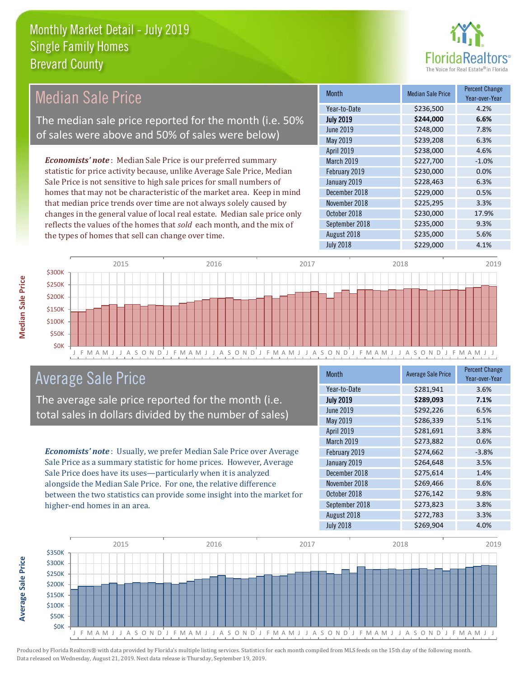

| <b>Median Sale Price</b>                                              |                                                    | <b>Month</b>                                                              | <b>Median Sale Price</b> | <b>Percent Change</b><br>Year-over-Year |           |         |
|-----------------------------------------------------------------------|----------------------------------------------------|---------------------------------------------------------------------------|--------------------------|-----------------------------------------|-----------|---------|
|                                                                       |                                                    |                                                                           |                          | Year-to-Date                            | \$236,500 | 4.2%    |
|                                                                       |                                                    | The median sale price reported for the month (i.e. 50%                    |                          | <b>July 2019</b>                        | \$244,000 | 6.6%    |
|                                                                       |                                                    | of sales were above and 50% of sales were below)                          |                          | <b>June 2019</b>                        | \$248,000 | 7.8%    |
|                                                                       |                                                    |                                                                           |                          | May 2019                                | \$239,208 | 6.3%    |
|                                                                       |                                                    |                                                                           |                          | <b>April 2019</b>                       | \$238,000 | 4.6%    |
|                                                                       |                                                    | <b>Economists' note:</b> Median Sale Price is our preferred summary       |                          | March 2019                              | \$227,700 | $-1.0%$ |
|                                                                       |                                                    | statistic for price activity because, unlike Average Sale Price, Median   |                          | February 2019                           | \$230,000 | 0.0%    |
| Sale Price is not sensitive to high sale prices for small numbers of  |                                                    | January 2019                                                              | \$228,463                | 6.3%                                    |           |         |
| homes that may not be characteristic of the market area. Keep in mind |                                                    | December 2018                                                             | \$229,000                | 0.5%                                    |           |         |
| that median price trends over time are not always solely caused by    |                                                    | November 2018                                                             | \$225,295                | 3.3%                                    |           |         |
|                                                                       |                                                    | changes in the general value of local real estate. Median sale price only |                          | October 2018                            | \$230,000 | 17.9%   |
|                                                                       |                                                    | reflects the values of the homes that sold each month, and the mix of     |                          | September 2018                          | \$235,000 | 9.3%    |
|                                                                       | the types of homes that sell can change over time. |                                                                           | August 2018              | \$235,000                               | 5.6%      |         |
|                                                                       |                                                    |                                                                           |                          | <b>July 2018</b>                        | \$229,000 | 4.1%    |
| $\lambda$ 2234                                                        | 2015                                               | 2016                                                                      | 2017                     |                                         | 2018      | 2019    |



### Average Sale Price

The average sale price reported for the month (i.e. total sales in dollars divided by the number of sales)

*Economists' note* : Usually, we prefer Median Sale Price over Average Sale Price as a summary statistic for home prices. However, Average Sale Price does have its uses—particularly when it is analyzed alongside the Median Sale Price. For one, the relative difference between the two statistics can provide some insight into the market for higher-end homes in an area.

| <b>Month</b>     | <b>Average Sale Price</b> | <b>Percent Change</b><br>Year-over-Year |
|------------------|---------------------------|-----------------------------------------|
| Year-to-Date     | \$281,941                 | 3.6%                                    |
| <b>July 2019</b> | \$289,093                 | 7.1%                                    |
| <b>June 2019</b> | \$292,226                 | 6.5%                                    |
| May 2019         | \$286,339                 | 5.1%                                    |
| April 2019       | \$281,691                 | 3.8%                                    |
| March 2019       | \$273,882                 | 0.6%                                    |
| February 2019    | \$274,662                 | $-3.8%$                                 |
| January 2019     | \$264,648                 | 3.5%                                    |
| December 2018    | \$275,614                 | 1.4%                                    |
| November 2018    | \$269,466                 | 8.6%                                    |
| October 2018     | \$276,142                 | 9.8%                                    |
| September 2018   | \$273,823                 | 3.8%                                    |
| August 2018      | \$272,783                 | 3.3%                                    |
| <b>July 2018</b> | \$269,904                 | 4.0%                                    |



**Median Sale Price** 

**Average Sale Price**

**Average Sale Price**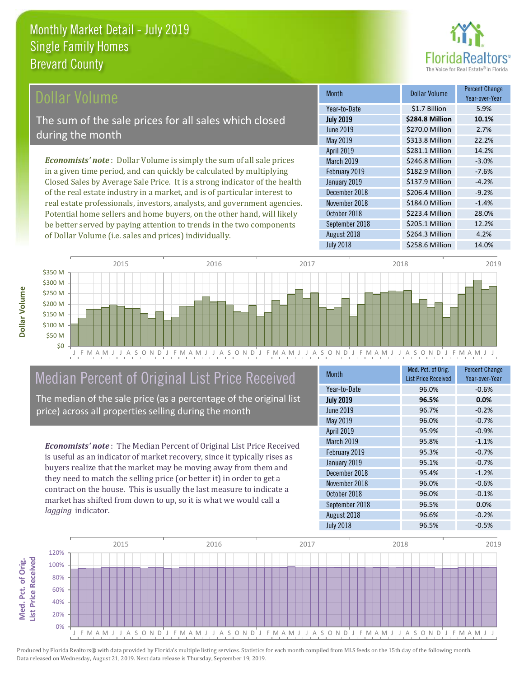

### ollar Volume

The sum of the sale prices for all sales which closed during the month

*Economists' note* : Dollar Volume is simply the sum of all sale prices in a given time period, and can quickly be calculated by multiplying Closed Sales by Average Sale Price. It is a strong indicator of the health of the real estate industry in a market, and is of particular interest to real estate professionals, investors, analysts, and government agencies. Potential home sellers and home buyers, on the other hand, will likely be better served by paying attention to trends in the two components of Dollar Volume (i.e. sales and prices) individually.

| <b>Month</b>     | <b>Dollar Volume</b> | <b>Percent Change</b><br>Year-over-Year |
|------------------|----------------------|-----------------------------------------|
| Year-to-Date     | \$1.7 Billion        | 5.9%                                    |
| <b>July 2019</b> | \$284.8 Million      | 10.1%                                   |
| <b>June 2019</b> | \$270.0 Million      | 2.7%                                    |
| May 2019         | \$313.8 Million      | 22.2%                                   |
| April 2019       | \$281.1 Million      | 14.2%                                   |
| March 2019       | \$246.8 Million      | $-3.0%$                                 |
| February 2019    | \$182.9 Million      | $-7.6%$                                 |
| January 2019     | \$137.9 Million      | $-4.2%$                                 |
| December 2018    | \$206.4 Million      | $-9.2%$                                 |
| November 2018    | \$184.0 Million      | $-1.4%$                                 |
| October 2018     | \$223.4 Million      | 28.0%                                   |
| September 2018   | \$205.1 Million      | 12.2%                                   |
| August 2018      | \$264.3 Million      | 4.2%                                    |
| <b>July 2018</b> | \$258.6 Million      | 14.0%                                   |



### Median Percent of Original List Price Received

The median of the sale price (as a percentage of the original list price) across all properties selling during the month

*Economists' note* : The Median Percent of Original List Price Received is useful as an indicator of market recovery, since it typically rises as buyers realize that the market may be moving away from them and they need to match the selling price (or better it) in order to get a contract on the house. This is usually the last measure to indicate a market has shifted from down to up, so it is what we would call a *lagging* indicator.

| <b>Month</b>     | Med. Pct. of Orig.<br><b>List Price Received</b> | <b>Percent Change</b><br>Year-over-Year |
|------------------|--------------------------------------------------|-----------------------------------------|
| Year-to-Date     | 96.0%                                            | $-0.6%$                                 |
| <b>July 2019</b> | 96.5%                                            | 0.0%                                    |
| <b>June 2019</b> | 96.7%                                            | $-0.2%$                                 |
| May 2019         | 96.0%                                            | $-0.7%$                                 |
| April 2019       | 95.9%                                            | $-0.9%$                                 |
| March 2019       | 95.8%                                            | $-1.1%$                                 |
| February 2019    | 95.3%                                            | $-0.7%$                                 |
| January 2019     | 95.1%                                            | $-0.7%$                                 |
| December 2018    | 95.4%                                            | $-1.2%$                                 |
| November 2018    | 96.0%                                            | $-0.6%$                                 |
| October 2018     | 96.0%                                            | $-0.1%$                                 |
| September 2018   | 96.5%                                            | 0.0%                                    |
| August 2018      | 96.6%                                            | $-0.2%$                                 |
| <b>July 2018</b> | 96.5%                                            | $-0.5%$                                 |

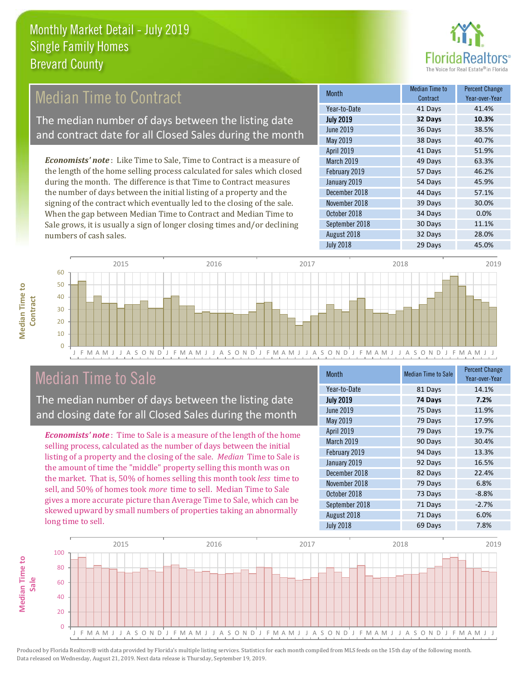

### Median Time to Contract

The median number of days between the listing date and contract date for all Closed Sales during the month

*Economists' note* : Like Time to Sale, Time to Contract is a measure of the length of the home selling process calculated for sales which closed during the month. The difference is that Time to Contract measures the number of days between the initial listing of a property and the signing of the contract which eventually led to the closing of the sale. When the gap between Median Time to Contract and Median Time to Sale grows, it is usually a sign of longer closing times and/or declining numbers of cash sales.

| <b>Month</b>     | Median Time to<br>Contract | <b>Percent Change</b><br>Year-over-Year |
|------------------|----------------------------|-----------------------------------------|
| Year-to-Date     | 41 Days                    | 41.4%                                   |
| <b>July 2019</b> | 32 Days                    | 10.3%                                   |
| <b>June 2019</b> | 36 Days                    | 38.5%                                   |
| May 2019         | 38 Days                    | 40.7%                                   |
| April 2019       | 41 Days                    | 51.9%                                   |
| March 2019       | 49 Days                    | 63.3%                                   |
| February 2019    | 57 Days                    | 46.2%                                   |
| January 2019     | 54 Days                    | 45.9%                                   |
| December 2018    | 44 Days                    | 57.1%                                   |
| November 2018    | 39 Days                    | 30.0%                                   |
| October 2018     | 34 Days                    | 0.0%                                    |
| September 2018   | 30 Days                    | 11.1%                                   |
| August 2018      | 32 Days                    | 28.0%                                   |
| <b>July 2018</b> | 29 Days                    | 45.0%                                   |



### Median Time to Sale

**Median Time to Contract**

**Median Time to** 

The median number of days between the listing date and closing date for all Closed Sales during the month

*Economists' note* : Time to Sale is a measure of the length of the home selling process, calculated as the number of days between the initial listing of a property and the closing of the sale. *Median* Time to Sale is the amount of time the "middle" property selling this month was on the market. That is, 50% of homes selling this month took *less* time to sell, and 50% of homes took *more* time to sell. Median Time to Sale gives a more accurate picture than Average Time to Sale, which can be skewed upward by small numbers of properties taking an abnormally long time to sell.

| <b>Month</b>      | <b>Median Time to Sale</b> | <b>Percent Change</b><br>Year-over-Year |
|-------------------|----------------------------|-----------------------------------------|
| Year-to-Date      | 81 Days                    | 14.1%                                   |
| <b>July 2019</b>  | 74 Days                    | 7.2%                                    |
| <b>June 2019</b>  | 75 Days                    | 11.9%                                   |
| May 2019          | 79 Days                    | 17.9%                                   |
| <b>April 2019</b> | 79 Days                    | 19.7%                                   |
| March 2019        | 90 Days                    | 30.4%                                   |
| February 2019     | 94 Days                    | 13.3%                                   |
| January 2019      | 92 Days                    | 16.5%                                   |
| December 2018     | 82 Days                    | 22.4%                                   |
| November 2018     | 79 Days                    | 6.8%                                    |
| October 2018      | 73 Days                    | $-8.8%$                                 |
| September 2018    | 71 Days                    | $-2.7%$                                 |
| August 2018       | 71 Days                    | 6.0%                                    |
| <b>July 2018</b>  | 69 Days                    | 7.8%                                    |

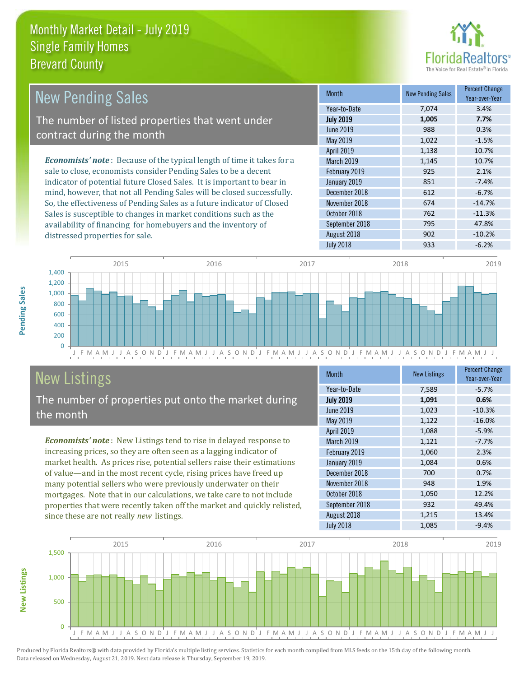

| <b>New Pending Sales</b>                                                       | <b>Month</b>      | <b>New Pending Sales</b> | <b>Percent Change</b><br>Year-over-Year |
|--------------------------------------------------------------------------------|-------------------|--------------------------|-----------------------------------------|
|                                                                                | Year-to-Date      | 7.074                    | 3.4%                                    |
| The number of listed properties that went under                                | <b>July 2019</b>  | 1,005                    | 7.7%                                    |
| contract during the month                                                      | June 2019         | 988                      | 0.3%                                    |
|                                                                                | May 2019          | 1,022                    | $-1.5%$                                 |
|                                                                                | <b>April 2019</b> | 1,138                    | 10.7%                                   |
| <b>Economists' note</b> : Because of the typical length of time it takes for a | <b>March 2019</b> | 1,145                    | 10.7%                                   |
| sale to close, economists consider Pending Sales to be a decent                | February 2019     | 925                      | 2.1%                                    |
| indicator of potential future Closed Sales. It is important to bear in         | January 2019      | 851                      | $-7.4%$                                 |
| mind, however, that not all Pending Sales will be closed successfully.         | December 2018     | 612                      | $-6.7%$                                 |
| So, the effectiveness of Pending Sales as a future indicator of Closed         | November 2018     | 674                      | $-14.7%$                                |
| Sales is susceptible to changes in market conditions such as the               | October 2018      | 762                      | $-11.3%$                                |



# New Listings

distressed properties for sale.

The number of properties put onto the market during the month

availability of financing for homebuyers and the inventory of

*Economists' note* : New Listings tend to rise in delayed response to increasing prices, so they are often seen as a lagging indicator of market health. As prices rise, potential sellers raise their estimations of value—and in the most recent cycle, rising prices have freed up many potential sellers who were previously underwater on their mortgages. Note that in our calculations, we take care to not include properties that were recently taken off the market and quickly relisted, since these are not really *new* listings.

| <b>Month</b>      | <b>New Listings</b> | <b>Percent Change</b><br>Year-over-Year |
|-------------------|---------------------|-----------------------------------------|
| Year-to-Date      | 7,589               | $-5.7%$                                 |
| <b>July 2019</b>  | 1,091               | 0.6%                                    |
| <b>June 2019</b>  | 1,023               | $-10.3%$                                |
| May 2019          | 1,122               | $-16.0%$                                |
| April 2019        | 1,088               | $-5.9%$                                 |
| <b>March 2019</b> | 1,121               | $-7.7%$                                 |
| February 2019     | 1,060               | 2.3%                                    |
| January 2019      | 1,084               | 0.6%                                    |
| December 2018     | 700                 | 0.7%                                    |
| November 2018     | 948                 | 1.9%                                    |
| October 2018      | 1,050               | 12.2%                                   |
| September 2018    | 932                 | 49.4%                                   |
| August 2018       | 1,215               | 13.4%                                   |
| <b>July 2018</b>  | 1,085               | $-9.4%$                                 |

September 2018 795 47.8% August 2018 **902** -10.2% July 2018 **933** -6.2%



Produced by Florida Realtors® with data provided by Florida's multiple listing services. Statistics for each month compiled from MLS feeds on the 15th day of the following month. Data released on Wednesday, August 21, 2019. Next data release is Thursday, September 19, 2019.

**New Listings**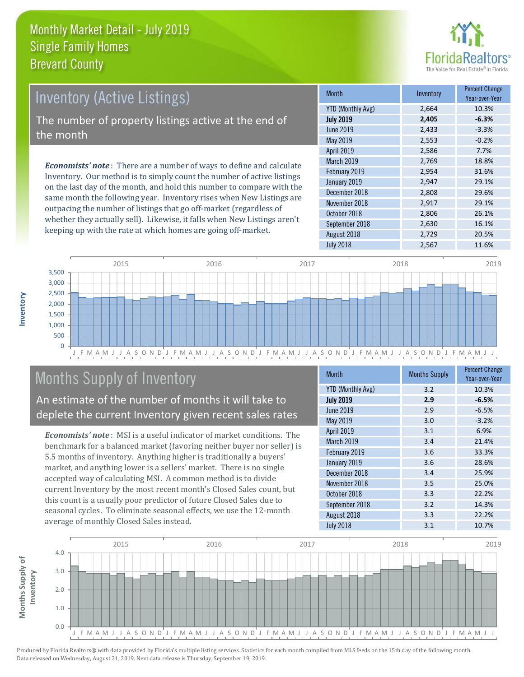

## *Economists' note* : There are a number of ways to define and calculate Inventory (Active Listings) The number of property listings active at the end of the month

Inventory. Our method is to simply count the number of active listings on the last day of the month, and hold this number to compare with the same month the following year. Inventory rises when New Listings are outpacing the number of listings that go off-market (regardless of whether they actually sell). Likewise, it falls when New Listings aren't keeping up with the rate at which homes are going off-market.

| <b>Month</b>             | Inventory | <b>Percent Change</b><br>Year-over-Year |
|--------------------------|-----------|-----------------------------------------|
| <b>YTD (Monthly Avg)</b> | 2,664     | 10.3%                                   |
| <b>July 2019</b>         | 2,405     | $-6.3%$                                 |
| <b>June 2019</b>         | 2,433     | $-3.3%$                                 |
| May 2019                 | 2,553     | $-0.2%$                                 |
| April 2019               | 2,586     | 7.7%                                    |
| March 2019               | 2,769     | 18.8%                                   |
| February 2019            | 2,954     | 31.6%                                   |
| January 2019             | 2,947     | 29.1%                                   |
| December 2018            | 2,808     | 29.6%                                   |
| November 2018            | 2,917     | 29.1%                                   |
| October 2018             | 2,806     | 26.1%                                   |
| September 2018           | 2,630     | 16.1%                                   |
| August 2018              | 2,729     | 20.5%                                   |
| <b>July 2018</b>         | 2,567     | 11.6%                                   |



### Months Supply of Inventory

An estimate of the number of months it will take to deplete the current Inventory given recent sales rates

*Economists' note* : MSI is a useful indicator of market conditions. The benchmark for a balanced market (favoring neither buyer nor seller) is 5.5 months of inventory. Anything higher is traditionally a buyers' market, and anything lower is a sellers' market. There is no single accepted way of calculating MSI. A common method is to divide current Inventory by the most recent month's Closed Sales count, but this count is a usually poor predictor of future Closed Sales due to seasonal cycles. To eliminate seasonal effects, we use the 12-month average of monthly Closed Sales instead.

| <b>Month</b>             | <b>Months Supply</b> | <b>Percent Change</b><br>Year-over-Year |
|--------------------------|----------------------|-----------------------------------------|
| <b>YTD (Monthly Avg)</b> | 3.2                  | 10.3%                                   |
| <b>July 2019</b>         | 2.9                  | $-6.5%$                                 |
| <b>June 2019</b>         | 2.9                  | $-6.5%$                                 |
| May 2019                 | 3.0                  | $-3.2%$                                 |
| April 2019               | 3.1                  | 6.9%                                    |
| March 2019               | 3.4                  | 21.4%                                   |
| February 2019            | 3.6                  | 33.3%                                   |
| January 2019             | 3.6                  | 28.6%                                   |
| December 2018            | 3.4                  | 25.9%                                   |
| November 2018            | 3.5                  | 25.0%                                   |
| October 2018             | 3.3                  | 22.2%                                   |
| September 2018           | 3.2                  | 14.3%                                   |
| August 2018              | 3.3                  | 22.2%                                   |
| <b>July 2018</b>         | 3.1                  | 10.7%                                   |



**Inventory**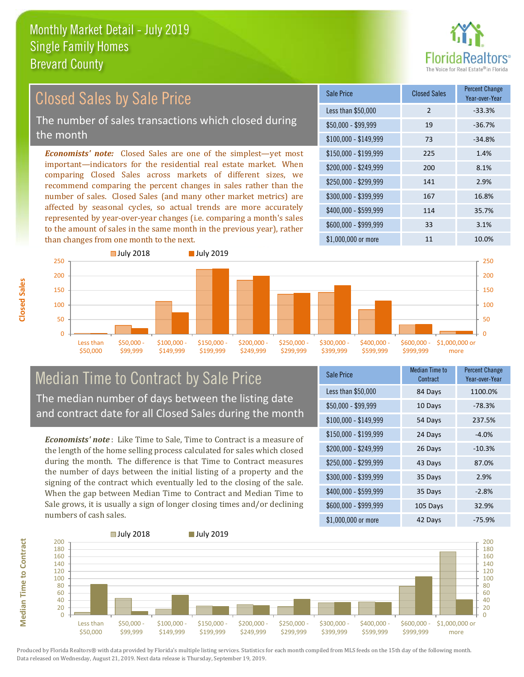

#### *Economists' note:* Closed Sales are one of the simplest—yet most important—indicators for the residential real estate market. When comparing Closed Sales across markets of different sizes, we recommend comparing the percent changes in sales rather than the number of sales. Closed Sales (and many other market metrics) are affected by seasonal cycles, so actual trends are more accurately represented by year-over-year changes (i.e. comparing a month's sales to the amount of sales in the same month in the previous year), rather than changes from one month to the next. \$1,000,000 or more 11 10.0% \$250,000 - \$299,999 141 2.9% \$300,000 - \$399,999 167 16.8% \$400,000 - \$599,999 114 35.7% \$600,000 - \$999,999 33 3.1% \$150,000 - \$199,999 225 1.4% \$200,000 - \$249,999 200 8.1% \$100,000 - \$149,999 73 -34.8% Sale Price Closed Sales Percent Change Year-over-Year Less than \$50,000 2 33.3% \$50,000 - \$99,999 19 -36.7% Closed Sales by Sale Price The number of sales transactions which closed during the month



#### Median Time to Contract by Sale Price The median number of days between the listing date and contract date for all Closed Sales during the month

*Economists' note* : Like Time to Sale, Time to Contract is a measure of the length of the home selling process calculated for sales which closed during the month. The difference is that Time to Contract measures the number of days between the initial listing of a property and the signing of the contract which eventually led to the closing of the sale. When the gap between Median Time to Contract and Median Time to Sale grows, it is usually a sign of longer closing times and/or declining numbers of cash sales.

| Sale Price            | Median Time to<br>Contract | Percent Change<br>Year-over-Year |
|-----------------------|----------------------------|----------------------------------|
| Less than \$50,000    | 84 Days                    | 1100.0%                          |
| $$50,000 - $99,999$   | 10 Days                    | $-78.3%$                         |
| $$100,000 - $149,999$ | 54 Days                    | 237.5%                           |
| $$150,000 - $199,999$ | 24 Days                    | $-4.0%$                          |
| \$200,000 - \$249,999 | 26 Days                    | $-10.3%$                         |
| \$250,000 - \$299,999 | 43 Days                    | 87.0%                            |
| \$300,000 - \$399,999 | 35 Days                    | 2.9%                             |
| \$400,000 - \$599,999 | 35 Days                    | $-2.8%$                          |
| \$600,000 - \$999,999 | 105 Days                   | 32.9%                            |
| \$1,000,000 or more   | 42 Days                    | -75.9%                           |



Produced by Florida Realtors® with data provided by Florida's multiple listing services. Statistics for each month compiled from MLS feeds on the 15th day of the following month. Data released on Wednesday, August 21, 2019. Next data release is Thursday, September 19, 2019.

**Median Time to Contract**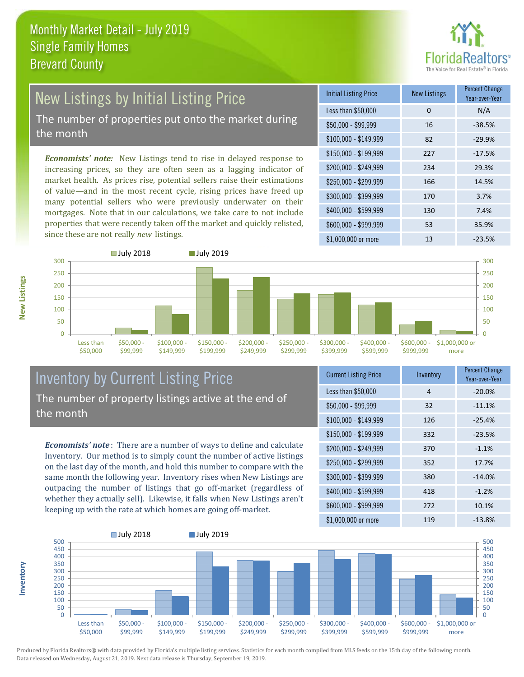

### New Listings by Initial Listing Price The number of properties put onto the market during

the month

*Economists' note:* New Listings tend to rise in delayed response to increasing prices, so they are often seen as a lagging indicator of market health. As prices rise, potential sellers raise their estimations of value—and in the most recent cycle, rising prices have freed up many potential sellers who were previously underwater on their mortgages. Note that in our calculations, we take care to not include properties that were recently taken off the market and quickly relisted, since these are not really *new* listings.

| <b>Initial Listing Price</b> | <b>New Listings</b> | <b>Percent Change</b><br>Year-over-Year |
|------------------------------|---------------------|-----------------------------------------|
| Less than \$50,000           | $\Omega$            | N/A                                     |
| $$50,000 - $99,999$          | 16                  | $-38.5%$                                |
| $$100,000 - $149,999$        | 82                  | $-29.9%$                                |
| $$150,000 - $199,999$        | 227                 | $-17.5%$                                |
| \$200,000 - \$249,999        | 234                 | 29.3%                                   |
| \$250,000 - \$299,999        | 166                 | 14.5%                                   |
| \$300,000 - \$399,999        | 170                 | 3.7%                                    |
| \$400,000 - \$599,999        | 130                 | 7.4%                                    |
| \$600,000 - \$999,999        | 53                  | 35.9%                                   |
| \$1,000,000 or more          | 13                  | $-23.5%$                                |



#### Inventory by Current Listing Price The number of property listings active at the end of the month

*Economists' note* : There are a number of ways to define and calculate Inventory. Our method is to simply count the number of active listings on the last day of the month, and hold this number to compare with the same month the following year. Inventory rises when New Listings are outpacing the number of listings that go off-market (regardless of whether they actually sell). Likewise, it falls when New Listings aren't keeping up with the rate at which homes are going off-market.

| <b>Current Listing Price</b> | Inventory | <b>Percent Change</b><br>Year-over-Year |
|------------------------------|-----------|-----------------------------------------|
| Less than \$50,000           | 4         | $-20.0%$                                |
| $$50,000 - $99,999$          | 32        | $-11.1%$                                |
| $$100,000 - $149,999$        | 126       | $-25.4%$                                |
| $$150,000 - $199,999$        | 332       | $-23.5%$                                |
| \$200,000 - \$249,999        | 370       | $-1.1%$                                 |
| \$250,000 - \$299,999        | 352       | 17.7%                                   |
| \$300,000 - \$399,999        | 380       | $-14.0%$                                |
| \$400,000 - \$599,999        | 418       | $-1.2%$                                 |
| \$600,000 - \$999,999        | 272       | 10.1%                                   |
| \$1,000,000 or more          | 119       | $-13.8%$                                |



Produced by Florida Realtors® with data provided by Florida's multiple listing services. Statistics for each month compiled from MLS feeds on the 15th day of the following month. Data released on Wednesday, August 21, 2019. Next data release is Thursday, September 19, 2019.

**Inventory**